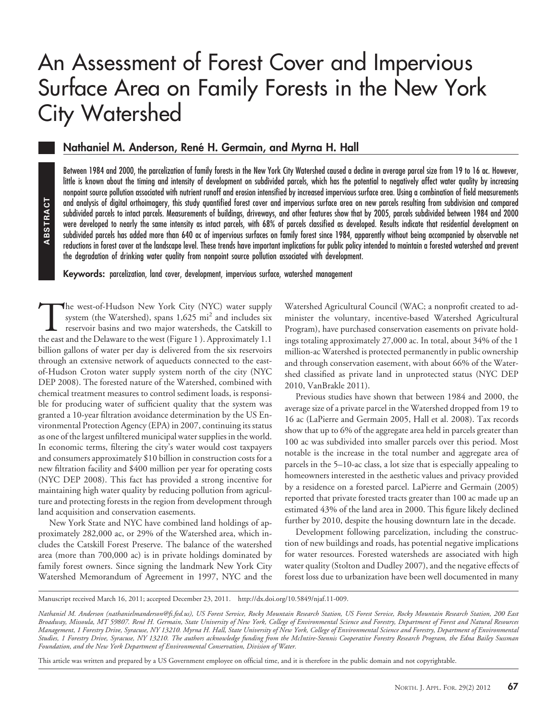# An Assessment of Forest Cover and Impervious Surface Area on Family Forests in the New York City Watershed

## Nathaniel M. Anderson, René H. Germain, and Myrna H. Hall

Between 1984 and 2000, the parcelization of family forests in the New York City Watershed caused a decline in average parcel size from 19 to 16 ac. However, little is known about the timing and intensity of development on subdivided parcels, which has the potential to negatively affect water quality by increasing nonpoint source pollution associated with nutrient runoff and erosion intensified by increased impervious surface area. Using a combination of field measurements and analysis of digital orthoimagery, this study quantified forest cover and impervious surface area on new parcels resulting from subdivision and compared subdivided parcels to intact parcels. Measurements of buildings, driveways, and other features show that by 2005, parcels subdivided between 1984 and 2000 were developed to nearly the same intensity as intact parcels, with 68% of parcels classified as developed. Results indicate that residential development on subdivided parcels has added more than 640 ac of impervious surfaces on family forest since 1984, apparently without being accompanied by observable net reductions in forest cover at the landscape level. These trends have important implications for public policy intended to maintain a forested watershed and prevent the degradation of drinking water quality from nonpoint source pollution associated with development.

**Keywords:** parcelization, land cover, development, impervious surface, watershed management

The west-of-Hudson New York City (NYC) water supply<br>system (the Watershed), spans 1,625 mi<sup>2</sup> and includes six<br>reservoir basins and two major watersheds, the Catskill to<br>the east and the Delaware to the west (Figure 1). Ap system (the Watershed), spans  $1,625$  mi<sup>2</sup> and includes six reservoir basins and two major watersheds, the Catskill to the east and the Delaware to the west (Figure 1 ). Approximately 1.1 billion gallons of water per day is delivered from the six reservoirs through an extensive network of aqueducts connected to the eastof-Hudson Croton water supply system north of the city (NYC DEP 2008). The forested nature of the Watershed, combined with chemical treatment measures to control sediment loads, is responsible for producing water of sufficient quality that the system was granted a 10-year filtration avoidance determination by the US Environmental Protection Agency (EPA) in 2007, continuing its status as one of the largest unfiltered municipal water supplies in the world. In economic terms, filtering the city's water would cost taxpayers and consumers approximately \$10 billion in construction costs for a new filtration facility and \$400 million per year for operating costs (NYC DEP 2008). This fact has provided a strong incentive for maintaining high water quality by reducing pollution from agriculture and protecting forests in the region from development through land acquisition and conservation easements.

New York State and NYC have combined land holdings of approximately 282,000 ac, or 29% of the Watershed area, which includes the Catskill Forest Preserve. The balance of the watershed area (more than 700,000 ac) is in private holdings dominated by family forest owners. Since signing the landmark New York City Watershed Memorandum of Agreement in 1997, NYC and the Watershed Agricultural Council (WAC; a nonprofit created to administer the voluntary, incentive-based Watershed Agricultural Program), have purchased conservation easements on private holdings totaling approximately 27,000 ac. In total, about 34% of the 1 million-ac Watershed is protected permanently in public ownership and through conservation easement, with about 66% of the Watershed classified as private land in unprotected status (NYC DEP 2010, VanBrakle 2011).

Previous studies have shown that between 1984 and 2000, the average size of a private parcel in the Watershed dropped from 19 to 16 ac (LaPierre and Germain 2005, Hall et al. 2008). Tax records show that up to 6% of the aggregate area held in parcels greater than 100 ac was subdivided into smaller parcels over this period. Most notable is the increase in the total number and aggregate area of parcels in the 5–10-ac class, a lot size that is especially appealing to homeowners interested in the aesthetic values and privacy provided by a residence on a forested parcel. LaPierre and Germain (2005) reported that private forested tracts greater than 100 ac made up an estimated 43% of the land area in 2000. This figure likely declined further by 2010, despite the housing downturn late in the decade.

Development following parcelization, including the construction of new buildings and roads, has potential negative implications for water resources. Forested watersheds are associated with high water quality (Stolton and Dudley 2007), and the negative effects of forest loss due to urbanization have been well documented in many

Manuscript received March 16, 2011; accepted December 23, 2011. http://dx.doi.org/10.5849/njaf.11-009.

*Nathaniel M. Anderson (nathanielmanderson@fs.fed.us), US Forest Service, Rocky Mountain Research Station, US Forest Service, Rocky Mountain Research Station, 200 East Broadway, Missoula, MT 59807. Rene´ H. Germain, State University of New York, College of Environmental Science and Forestry, Department of Forest and Natural Resources Management, 1 Forestry Drive, Syracuse, NY 13210. Myrna H. Hall, State University of New York, College of Environmental Science and Forestry, Department of Environmental Studies, 1 Forestry Drive, Syracuse, NY 13210. The authors acknowledge funding from the McIntire-Stennis Cooperative Forestry Research Program, the Edna Bailey Sussman Foundation, and the New York Department of Environmental Conservation, Division of Water.*

This article was written and prepared by a US Government employee on official time, and it is therefore in the public domain and not copyrightable.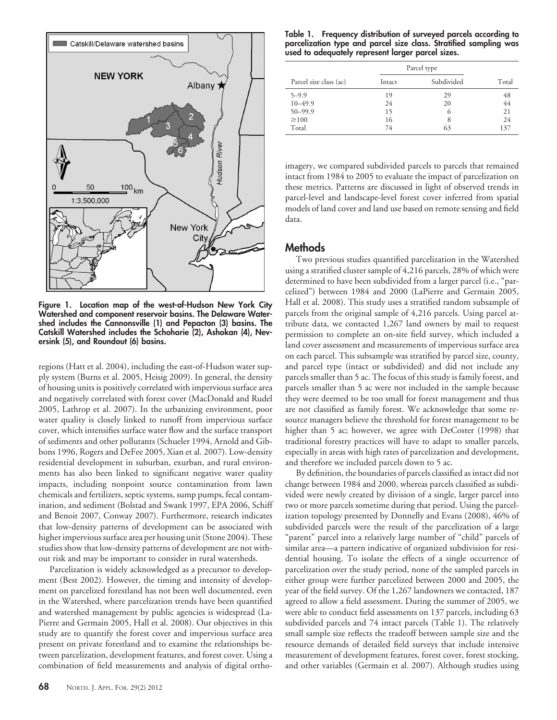

**Figure 1. Location map of the west-of-Hudson New York City Watershed and component reservoir basins. The Delaware Watershed includes the Cannonsville (1) and Pepacton (3) basins. The Catskill Watershed includes the Schoharie (2), Ashokan (4), Neversink (5), and Roundout (6) basins.**

regions (Hatt et al. 2004), including the east-of-Hudson water supply system (Burns et al. 2005, Heisig 2009). In general, the density of housing units is positively correlated with impervious surface area and negatively correlated with forest cover (MacDonald and Rudel 2005, Lathrop et al. 2007). In the urbanizing environment, poor water quality is closely linked to runoff from impervious surface cover, which intensifies surface water flow and the surface transport of sediments and other pollutants (Schueler 1994, Arnold and Gibbons 1996, Rogers and DeFee 2005, Xian et al. 2007). Low-density residential development in suburban, exurban, and rural environments has also been linked to significant negative water quality impacts, including nonpoint source contamination from lawn chemicals and fertilizers, septic systems, sump pumps, fecal contamination, and sediment (Bolstad and Swank 1997, EPA 2006, Schiff and Benoit 2007, Conway 2007). Furthermore, research indicates that low-density patterns of development can be associated with higher impervious surface area per housing unit (Stone 2004). These studies show that low-density patterns of development are not without risk and may be important to consider in rural watersheds.

Parcelization is widely acknowledged as a precursor to development (Best 2002). However, the timing and intensity of development on parcelized forestland has not been well documented, even in the Watershed, where parcelization trends have been quantified and watershed management by public agencies is widespread (La-Pierre and Germain 2005, Hall et al. 2008). Our objectives in this study are to quantify the forest cover and impervious surface area present on private forestland and to examine the relationships between parcelization, development features, and forest cover. Using a combination of field measurements and analysis of digital ortho-

|                                                   | Table 1. Frequency distribution of surveyed parcels according to  |  |  |  |  |  |
|---------------------------------------------------|-------------------------------------------------------------------|--|--|--|--|--|
|                                                   | parcelization type and parcel size class. Stratified sampling was |  |  |  |  |  |
| used to adequately represent larger parcel sizes. |                                                                   |  |  |  |  |  |

|                        | Parcel type |            |       |
|------------------------|-------------|------------|-------|
| Parcel size class (ac) | Intact      | Subdivided | Total |
| $5 - 9.9$              | 19          | 29         | 48    |
| $10 - 49.9$            | 24          | 20         | 44    |
| $50 - 99.9$            | 15          | 6          | 21    |
| $\geq 100$             | 16          | 8          | 24    |
| Total                  | 74          | 63         | 137   |

imagery, we compared subdivided parcels to parcels that remained intact from 1984 to 2005 to evaluate the impact of parcelization on these metrics. Patterns are discussed in light of observed trends in parcel-level and landscape-level forest cover inferred from spatial models of land cover and land use based on remote sensing and field data.

# **Methods**

Two previous studies quantified parcelization in the Watershed using a stratified cluster sample of 4,216 parcels, 28% of which were determined to have been subdivided from a larger parcel (i.e., "parcelized") between 1984 and 2000 (LaPierre and Germain 2005, Hall et al. 2008). This study uses a stratified random subsample of parcels from the original sample of 4,216 parcels. Using parcel attribute data, we contacted 1,267 land owners by mail to request permission to complete an on-site field survey, which included a land cover assessment and measurements of impervious surface area on each parcel. This subsample was stratified by parcel size, county, and parcel type (intact or subdivided) and did not include any parcels smaller than 5 ac. The focus of this study is family forest, and parcels smaller than 5 ac were not included in the sample because they were deemed to be too small for forest management and thus are not classified as family forest. We acknowledge that some resource managers believe the threshold for forest management to be higher than 5 ac; however, we agree with DeCoster (1998) that traditional forestry practices will have to adapt to smaller parcels, especially in areas with high rates of parcelization and development, and therefore we included parcels down to 5 ac.

By definition, the boundaries of parcels classified as intact did not change between 1984 and 2000, whereas parcels classified as subdivided were newly created by division of a single, larger parcel into two or more parcels sometime during that period. Using the parcelization topology presented by Donnelly and Evans (2008), 46% of subdivided parcels were the result of the parcelization of a large "parent" parcel into a relatively large number of "child" parcels of similar area—a pattern indicative of organized subdivision for residential housing. To isolate the effects of a single occurrence of parcelization over the study period, none of the sampled parcels in either group were further parcelized between 2000 and 2005, the year of the field survey. Of the 1,267 landowners we contacted, 187 agreed to allow a field assessment. During the summer of 2005, we were able to conduct field assessments on 137 parcels, including 63 subdivided parcels and 74 intact parcels (Table 1). The relatively small sample size reflects the tradeoff between sample size and the resource demands of detailed field surveys that include intensive measurement of development features, forest cover, forest stocking, and other variables (Germain et al. 2007). Although studies using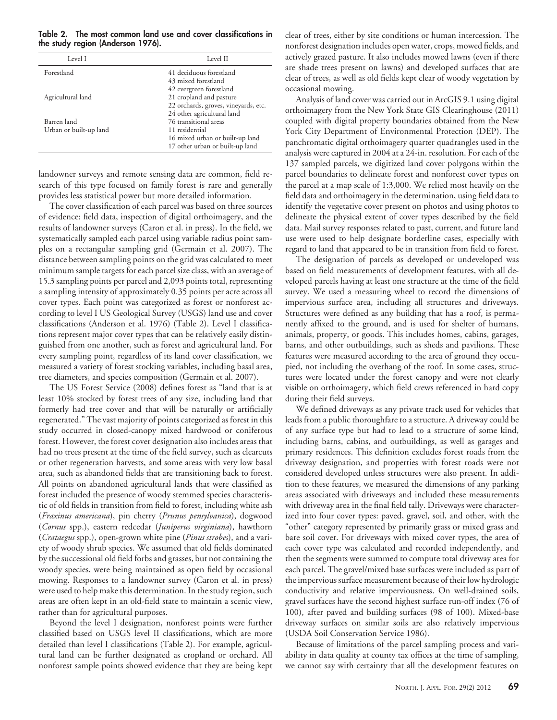**Table 2. The most common land use and cover classifications in the study region (Anderson 1976).**

| Level I                | Level II                             |  |  |
|------------------------|--------------------------------------|--|--|
| Forestland             | 41 deciduous forestland              |  |  |
|                        | 43 mixed forestland                  |  |  |
|                        | 42 evergreen forestland              |  |  |
| Agricultural land      | 21 cropland and pasture              |  |  |
|                        | 22 orchards, groves, vineyards, etc. |  |  |
|                        | 24 other agricultural land           |  |  |
| Barren land            | 76 transitional areas                |  |  |
| Urban or built-up land | 11 residential                       |  |  |
|                        | 16 mixed urban or built-up land      |  |  |
|                        | 17 other urban or built-up land      |  |  |
|                        |                                      |  |  |

landowner surveys and remote sensing data are common, field research of this type focused on family forest is rare and generally provides less statistical power but more detailed information.

The cover classification of each parcel was based on three sources of evidence: field data, inspection of digital orthoimagery, and the results of landowner surveys (Caron et al. in press). In the field, we systematically sampled each parcel using variable radius point samples on a rectangular sampling grid (Germain et al. 2007). The distance between sampling points on the grid was calculated to meet minimum sample targets for each parcel size class, with an average of 15.3 sampling points per parcel and 2,093 points total, representing a sampling intensity of approximately 0.35 points per acre across all cover types. Each point was categorized as forest or nonforest according to level I US Geological Survey (USGS) land use and cover classifications (Anderson et al. 1976) (Table 2). Level I classifications represent major cover types that can be relatively easily distinguished from one another, such as forest and agricultural land. For every sampling point, regardless of its land cover classification, we measured a variety of forest stocking variables, including basal area, tree diameters, and species composition (Germain et al. 2007).

The US Forest Service (2008) defines forest as "land that is at least 10% stocked by forest trees of any size, including land that formerly had tree cover and that will be naturally or artificially regenerated." The vast majority of points categorized as forest in this study occurred in closed-canopy mixed hardwood or coniferous forest. However, the forest cover designation also includes areas that had no trees present at the time of the field survey, such as clearcuts or other regeneration harvests, and some areas with very low basal area, such as abandoned fields that are transitioning back to forest. All points on abandoned agricultural lands that were classified as forest included the presence of woody stemmed species characteristic of old fields in transition from field to forest, including white ash (*Fraxinus americana*), pin cherry (*Prunus pensylvanica*), dogwood (*Cornus* spp.), eastern redcedar (*Juniperus virginiana*), hawthorn (*Crataegus* spp.), open-grown white pine (*Pinus strobes*), and a variety of woody shrub species. We assumed that old fields dominated by the successional old field forbs and grasses, but not containing the woody species, were being maintained as open field by occasional mowing. Responses to a landowner survey (Caron et al. in press) were used to help make this determination. In the study region, such areas are often kept in an old-field state to maintain a scenic view, rather than for agricultural purposes.

Beyond the level I designation, nonforest points were further classified based on USGS level II classifications, which are more detailed than level I classifications (Table 2). For example, agricultural land can be further designated as cropland or orchard. All nonforest sample points showed evidence that they are being kept

clear of trees, either by site conditions or human intercession. The nonforest designation includes open water, crops, mowed fields, and actively grazed pasture. It also includes mowed lawns (even if there are shade trees present on lawns) and developed surfaces that are clear of trees, as well as old fields kept clear of woody vegetation by occasional mowing.

Analysis of land cover was carried out in ArcGIS 9.1 using digital orthoimagery from the New York State GIS Clearinghouse (2011) coupled with digital property boundaries obtained from the New York City Department of Environmental Protection (DEP). The panchromatic digital orthoimagery quarter quadrangles used in the analysis were captured in 2004 at a 24-in. resolution. For each of the 137 sampled parcels, we digitized land cover polygons within the parcel boundaries to delineate forest and nonforest cover types on the parcel at a map scale of 1:3,000. We relied most heavily on the field data and orthoimagery in the determination, using field data to identify the vegetative cover present on photos and using photos to delineate the physical extent of cover types described by the field data. Mail survey responses related to past, current, and future land use were used to help designate borderline cases, especially with regard to land that appeared to be in transition from field to forest.

The designation of parcels as developed or undeveloped was based on field measurements of development features, with all developed parcels having at least one structure at the time of the field survey. We used a measuring wheel to record the dimensions of impervious surface area, including all structures and driveways. Structures were defined as any building that has a roof, is permanently affixed to the ground, and is used for shelter of humans, animals, property, or goods. This includes homes, cabins, garages, barns, and other outbuildings, such as sheds and pavilions. These features were measured according to the area of ground they occupied, not including the overhang of the roof. In some cases, structures were located under the forest canopy and were not clearly visible on orthoimagery, which field crews referenced in hard copy during their field surveys.

We defined driveways as any private track used for vehicles that leads from a public thoroughfare to a structure. A driveway could be of any surface type but had to lead to a structure of some kind, including barns, cabins, and outbuildings, as well as garages and primary residences. This definition excludes forest roads from the driveway designation, and properties with forest roads were not considered developed unless structures were also present. In addition to these features, we measured the dimensions of any parking areas associated with driveways and included these measurements with driveway area in the final field tally. Driveways were characterized into four cover types: paved, gravel, soil, and other, with the "other" category represented by primarily grass or mixed grass and bare soil cover. For driveways with mixed cover types, the area of each cover type was calculated and recorded independently, and then the segments were summed to compute total driveway area for each parcel. The gravel/mixed base surfaces were included as part of the impervious surface measurement because of their low hydrologic conductivity and relative imperviousness. On well-drained soils, gravel surfaces have the second highest surface run-off index (76 of 100), after paved and building surfaces (98 of 100). Mixed-base driveway surfaces on similar soils are also relatively impervious (USDA Soil Conservation Service 1986).

Because of limitations of the parcel sampling process and variability in data quality at county tax offices at the time of sampling, we cannot say with certainty that all the development features on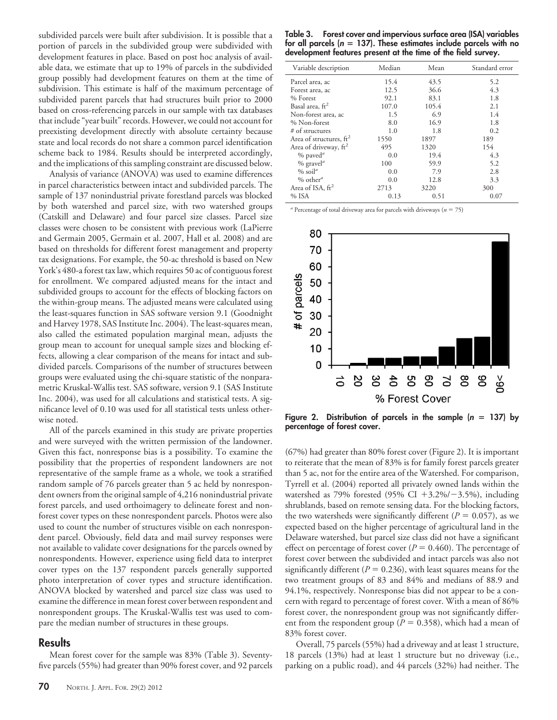subdivided parcels were built after subdivision. It is possible that a portion of parcels in the subdivided group were subdivided with development features in place. Based on post hoc analysis of available data, we estimate that up to 19% of parcels in the subdivided group possibly had development features on them at the time of subdivision. This estimate is half of the maximum percentage of subdivided parent parcels that had structures built prior to 2000 based on cross-referencing parcels in our sample with tax databases that include "year built" records. However, we could not account for preexisting development directly with absolute certainty because state and local records do not share a common parcel identification scheme back to 1984. Results should be interpreted accordingly, and the implications of this sampling constraint are discussed below.

Analysis of variance (ANOVA) was used to examine differences in parcel characteristics between intact and subdivided parcels. The sample of 137 nonindustrial private forestland parcels was blocked by both watershed and parcel size, with two watershed groups (Catskill and Delaware) and four parcel size classes. Parcel size classes were chosen to be consistent with previous work (LaPierre and Germain 2005, Germain et al. 2007, Hall et al. 2008) and are based on thresholds for different forest management and property tax designations. For example, the 50-ac threshold is based on New York's 480-a forest tax law, which requires 50 ac of contiguous forest for enrollment. We compared adjusted means for the intact and subdivided groups to account for the effects of blocking factors on the within-group means. The adjusted means were calculated using the least-squares function in SAS software version 9.1 (Goodnight and Harvey 1978, SAS Institute Inc. 2004). The least-squares mean, also called the estimated population marginal mean, adjusts the group mean to account for unequal sample sizes and blocking effects, allowing a clear comparison of the means for intact and subdivided parcels. Comparisons of the number of structures between groups were evaluated using the chi-square statistic of the nonparametric Kruskal-Wallis test. SAS software, version 9.1 (SAS Institute Inc. 2004), was used for all calculations and statistical tests. A significance level of 0.10 was used for all statistical tests unless otherwise noted.

All of the parcels examined in this study are private properties and were surveyed with the written permission of the landowner. Given this fact, nonresponse bias is a possibility. To examine the possibility that the properties of respondent landowners are not representative of the sample frame as a whole, we took a stratified random sample of 76 parcels greater than 5 ac held by nonrespondent owners from the original sample of 4,216 nonindustrial private forest parcels, and used orthoimagery to delineate forest and nonforest cover types on these nonrespondent parcels. Photos were also used to count the number of structures visible on each nonrespondent parcel. Obviously, field data and mail survey responses were not available to validate cover designations for the parcels owned by nonrespondents. However, experience using field data to interpret cover types on the 137 respondent parcels generally supported photo interpretation of cover types and structure identification. ANOVA blocked by watershed and parcel size class was used to examine the difference in mean forest cover between respondent and nonrespondent groups. The Kruskal-Wallis test was used to compare the median number of structures in these groups.

#### **Results**

Mean forest cover for the sample was 83% (Table 3). Seventyfive parcels (55%) had greater than 90% forest cover, and 92 parcels

**Table 3. Forest cover and impervious surface area (ISA) variables for all parcels (***n* **137). These estimates include parcels with no development features present at the time of the field survey.**

| Variable description                | Median | Mean  | Standard error |  |
|-------------------------------------|--------|-------|----------------|--|
| Parcel area, ac                     | 15.4   | 43.5  | 5.2            |  |
| Forest area, ac                     | 12.5   | 36.6  | 4.3            |  |
| % Forest                            | 92.1   | 83.1  | 1.8            |  |
| Basal area, $\rm ft^2$              | 107.0  | 105.4 | 2.1            |  |
| Non-forest area, ac                 | 1.5    | 6.9   | 1.4            |  |
| % Non-forest                        | 8.0    | 16.9  | 1.8            |  |
| # of structures                     | 1.0    | 1.8   | 0.2            |  |
| Area of structures, $\text{ft}^2$   | 1550   | 1897  | 189            |  |
| Area of driveway, ft <sup>2</sup>   | 495    | 1320  | 154            |  |
| $%$ paved <sup><i>a</i></sup>       | 0.0    | 19.4  | 4.3            |  |
| $%$ gravel <sup>a</sup>             | 100    | 59.9  | 5.2            |  |
| $%$ soil <sup>a</sup>               | 0.0    | 7.9   | 2.8            |  |
| $%$ other <sup><math>a</math></sup> | 0.0    | 12.8  | 3.3            |  |
| Area of ISA, $ft2$                  | 2713   | 3220  | 300            |  |
| $%$ ISA                             | 0.13   | 0.51  | 0.07           |  |

 $^{\it a}$  Percentage of total driveway area for parcels with driveways ( $n = 75)$ 



**Figure 2. Distribution of parcels in the sample (***n* **137) by percentage of forest cover.**

(67%) had greater than 80% forest cover (Figure 2). It is important to reiterate that the mean of 83% is for family forest parcels greater than 5 ac, not for the entire area of the Watershed. For comparison, Tyrrell et al. (2004) reported all privately owned lands within the watershed as 79% forested (95% CI  $+3.2\%$ / $-3.5\%$ ), including shrublands, based on remote sensing data. For the blocking factors, the two watersheds were significantly different  $(P = 0.057)$ , as we expected based on the higher percentage of agricultural land in the Delaware watershed, but parcel size class did not have a significant effect on percentage of forest cover ( $P = 0.460$ ). The percentage of forest cover between the subdivided and intact parcels was also not significantly different ( $P = 0.236$ ), with least squares means for the two treatment groups of 83 and 84% and medians of 88.9 and 94.1%, respectively. Nonresponse bias did not appear to be a concern with regard to percentage of forest cover. With a mean of 86% forest cover, the nonrespondent group was not significantly different from the respondent group ( $P = 0.358$ ), which had a mean of 83% forest cover.

Overall, 75 parcels (55%) had a driveway and at least 1 structure, 18 parcels (13%) had at least 1 structure but no driveway (i.e., parking on a public road), and 44 parcels (32%) had neither. The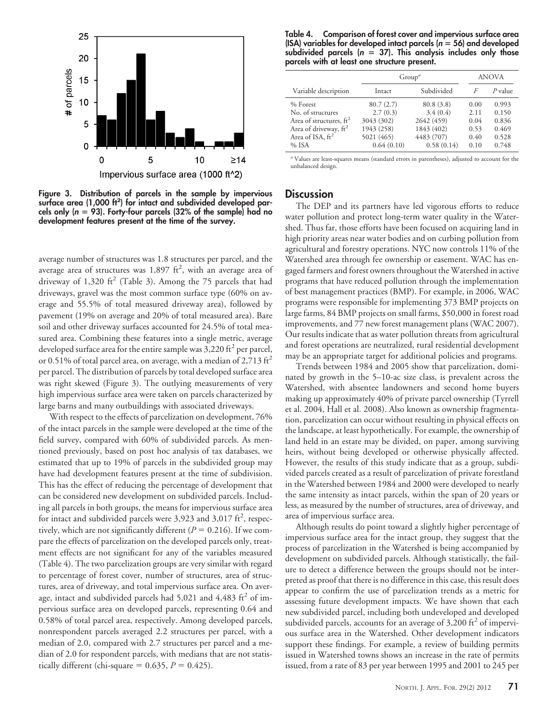

**Figure 3. Distribution of parcels in the sample by impervious** surface area (1,000 ft<sup>2</sup>) for intact and subdivided developed par**cels only (***n* **93). Forty-four parcels (32% of the sample) had no development features present at the time of the survey.**

average number of structures was 1.8 structures per parcel, and the average area of structures was  $1,897$   $\text{ft}^2$ , with an average area of driveway of 1,320 ft<sup>2</sup> (Table 3). Among the 75 parcels that had driveways, gravel was the most common surface type (60% on average and 55.5% of total measured driveway area), followed by pavement (19% on average and 20% of total measured area). Bare soil and other driveway surfaces accounted for 24.5% of total measured area. Combining these features into a single metric, average developed surface area for the entire sample was  $3,220$  ft<sup>2</sup> per parcel, or 0.51% of total parcel area, on average, with a median of 2,713 ft<sup>2</sup> per parcel. The distribution of parcels by total developed surface area was right skewed (Figure 3). The outlying measurements of very high impervious surface area were taken on parcels characterized by large barns and many outbuildings with associated driveways.

With respect to the effects of parcelization on development, 76% of the intact parcels in the sample were developed at the time of the field survey, compared with 60% of subdivided parcels. As mentioned previously, based on post hoc analysis of tax databases, we estimated that up to 19% of parcels in the subdivided group may have had development features present at the time of subdivision. This has the effect of reducing the percentage of development that can be considered new development on subdivided parcels. Including all parcels in both groups, the means for impervious surface area for intact and subdivided parcels were  $3,923$  and  $3,017$  ft<sup>2</sup>, respectively, which are not significantly different ( $P = 0.216$ ). If we compare the effects of parcelization on the developed parcels only, treatment effects are not significant for any of the variables measured (Table 4). The two parcelization groups are very similar with regard to percentage of forest cover, number of structures, area of structures, area of driveway, and total impervious surface area. On average, intact and subdivided parcels had  $5,021$  and  $4,483$  ft<sup>2</sup> of impervious surface area on developed parcels, representing 0.64 and 0.58% of total parcel area, respectively. Among developed parcels, nonrespondent parcels averaged 2.2 structures per parcel, with a median of 2.0, compared with 2.7 structures per parcel and a median of 2.0 for respondent parcels, with medians that are not statistically different (chi-square  $= 0.635$ ,  $P = 0.425$ ).

**Table 4. Comparison of forest cover and impervious surface area (ISA) variables for developed intact parcels (***n* **56) and developed** subdivided parcels  $(n = 37)$ . This analysis includes only those **parcels with at least one structure present.**

|                                                                                                                                                  | Group <sup>a</sup>                                                            |                                                                               | <b>ANOVA</b>                                 |                                                    |
|--------------------------------------------------------------------------------------------------------------------------------------------------|-------------------------------------------------------------------------------|-------------------------------------------------------------------------------|----------------------------------------------|----------------------------------------------------|
| Variable description                                                                                                                             | Intact                                                                        | Subdivided                                                                    | F                                            | $P$ value                                          |
| % Forest<br>No. of structures<br>Area of structures, $\text{ft}^2$<br>Area of driveway, $\text{ft}^2$<br>Area of ISA, ft <sup>2</sup><br>$%$ ISA | 80.7(2.7)<br>2.7(0.3)<br>3043 (302)<br>1943 (258)<br>5021 (465)<br>0.64(0.10) | 80.8(3.8)<br>3.4(0.4)<br>2642 (459)<br>1843 (402)<br>4483 (707)<br>0.58(0.14) | 0.00<br>2.11<br>0.04<br>0.53<br>0.40<br>0.10 | 0.993<br>0.150<br>0.836<br>0.469<br>0.528<br>0.748 |

*<sup>a</sup>* Values are least-squares means (standard errors in parentheses), adjusted to account for the unbalanced design.

## **Discussion**

The DEP and its partners have led vigorous efforts to reduce water pollution and protect long-term water quality in the Watershed. Thus far, those efforts have been focused on acquiring land in high priority areas near water bodies and on curbing pollution from agricultural and forestry operations. NYC now controls 11% of the Watershed area through fee ownership or easement. WAC has engaged farmers and forest owners throughout the Watershed in active programs that have reduced pollution through the implementation of best management practices (BMP). For example, in 2006, WAC programs were responsible for implementing 373 BMP projects on large farms, 84 BMP projects on small farms, \$50,000 in forest road improvements, and 77 new forest management plans (WAC 2007). Our results indicate that as water pollution threats from agricultural and forest operations are neutralized, rural residential development may be an appropriate target for additional policies and programs.

Trends between 1984 and 2005 show that parcelization, dominated by growth in the 5–10-ac size class, is prevalent across the Watershed, with absentee landowners and second home buyers making up approximately 40% of private parcel ownership (Tyrrell et al. 2004, Hall et al. 2008). Also known as ownership fragmentation, parcelization can occur without resulting in physical effects on the landscape, at least hypothetically. For example, the ownership of land held in an estate may be divided, on paper, among surviving heirs, without being developed or otherwise physically affected. However, the results of this study indicate that as a group, subdivided parcels created as a result of parcelization of private forestland in the Watershed between 1984 and 2000 were developed to nearly the same intensity as intact parcels, within the span of 20 years or less, as measured by the number of structures, area of driveway, and area of impervious surface area.

Although results do point toward a slightly higher percentage of impervious surface area for the intact group, they suggest that the process of parcelization in the Watershed is being accompanied by development on subdivided parcels. Although statistically, the failure to detect a difference between the groups should not be interpreted as proof that there is no difference in this case, this result does appear to confirm the use of parcelization trends as a metric for assessing future development impacts. We have shown that each new subdivided parcel, including both undeveloped and developed subdivided parcels, accounts for an average of 3,200 ft<sup>2</sup> of impervious surface area in the Watershed. Other development indicators support these findings. For example, a review of building permits issued in Watershed towns shows an increase in the rate of permits issued, from a rate of 83 per year between 1995 and 2001 to 245 per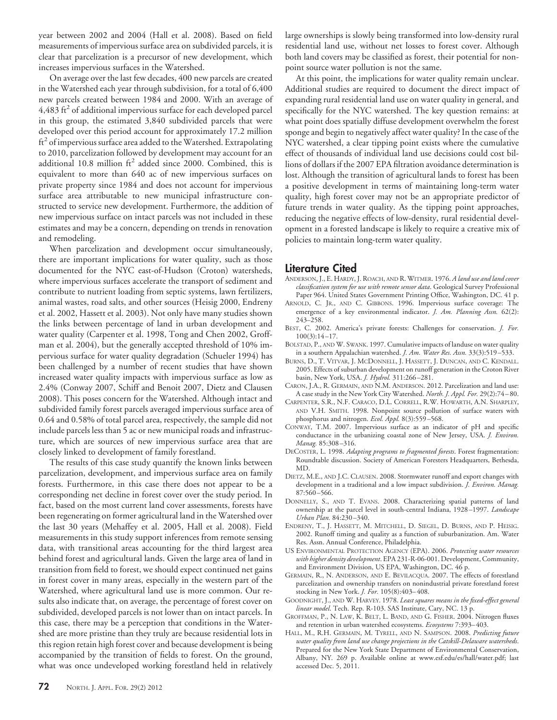year between 2002 and 2004 (Hall et al. 2008). Based on field measurements of impervious surface area on subdivided parcels, it is clear that parcelization is a precursor of new development, which increases impervious surfaces in the Watershed.

On average over the last few decades, 400 new parcels are created in the Watershed each year through subdivision, for a total of 6,400 new parcels created between 1984 and 2000. With an average of  $4,483$  ft<sup>2</sup> of additional impervious surface for each developed parcel in this group, the estimated 3,840 subdivided parcels that were developed over this period account for approximately 17.2 million  $ft<sup>2</sup>$  of impervious surface area added to the Watershed. Extrapolating to 2010, parcelization followed by development may account for an additional 10.8 million  $\text{ft}^2$  added since 2000. Combined, this is equivalent to more than 640 ac of new impervious surfaces on private property since 1984 and does not account for impervious surface area attributable to new municipal infrastructure constructed to service new development. Furthermore, the addition of new impervious surface on intact parcels was not included in these estimates and may be a concern, depending on trends in renovation and remodeling.

When parcelization and development occur simultaneously, there are important implications for water quality, such as those documented for the NYC east-of-Hudson (Croton) watersheds, where impervious surfaces accelerate the transport of sediment and contribute to nutrient loading from septic systems, lawn fertilizers, animal wastes, road salts, and other sources (Heisig 2000, Endreny et al. 2002, Hassett et al. 2003). Not only have many studies shown the links between percentage of land in urban development and water quality (Carpenter et al. 1998, Tong and Chen 2002, Groffman et al. 2004), but the generally accepted threshold of 10% impervious surface for water quality degradation (Schueler 1994) has been challenged by a number of recent studies that have shown increased water quality impacts with impervious surface as low as 2.4% (Conway 2007, Schiff and Benoit 2007, Dietz and Clausen 2008). This poses concern for the Watershed. Although intact and subdivided family forest parcels averaged impervious surface area of 0.64 and 0.58% of total parcel area, respectively, the sample did not include parcels less than 5 ac or new municipal roads and infrastructure, which are sources of new impervious surface area that are closely linked to development of family forestland.

The results of this case study quantify the known links between parcelization, development, and impervious surface area on family forests. Furthermore, in this case there does not appear to be a corresponding net decline in forest cover over the study period. In fact, based on the most current land cover assessments, forests have been regenerating on former agricultural land in the Watershed over the last 30 years (Mehaffey et al. 2005, Hall et al. 2008). Field measurements in this study support inferences from remote sensing data, with transitional areas accounting for the third largest area behind forest and agricultural lands. Given the large area of land in transition from field to forest, we should expect continued net gains in forest cover in many areas, especially in the western part of the Watershed, where agricultural land use is more common. Our results also indicate that, on average, the percentage of forest cover on subdivided, developed parcels is not lower than on intact parcels. In this case, there may be a perception that conditions in the Watershed are more pristine than they truly are because residential lots in this region retain high forest cover and because development is being accompanied by the transition of fields to forest. On the ground, what was once undeveloped working forestland held in relatively large ownerships is slowly being transformed into low-density rural residential land use, without net losses to forest cover. Although both land covers may be classified as forest, their potential for nonpoint source water pollution is not the same.

At this point, the implications for water quality remain unclear. Additional studies are required to document the direct impact of expanding rural residential land use on water quality in general, and specifically for the NYC watershed. The key question remains: at what point does spatially diffuse development overwhelm the forest sponge and begin to negatively affect water quality? In the case of the NYC watershed, a clear tipping point exists where the cumulative effect of thousands of individual land use decisions could cost billions of dollars if the 2007 EPA filtration avoidance determination is lost. Although the transition of agricultural lands to forest has been a positive development in terms of maintaining long-term water quality, high forest cover may not be an appropriate predictor of future trends in water quality. As the tipping point approaches, reducing the negative effects of low-density, rural residential development in a forested landscape is likely to require a creative mix of policies to maintain long-term water quality.

## **Literature Cited**

- ANDERSON, J., E. HARDY, J. ROACH, AND R. WITMER. 1976. *A land use and land cover classification system for use with remote sensor data*. Geological Survey Professional Paper 964. United States Government Printing Office, Washington, DC. 41 p.
- ARNOLD, C. JR., AND C. GIBBONS. 1996. Impervious surface coverage: The emergence of a key environmental indicator. *J. Am. Planning Assn.* 62(2): 243–258.
- BEST, C. 2002. America's private forests: Challenges for conservation. *J. For.*  $100(3):14 - 17.$
- BOLSTAD, P., AND W. SWANK. 1997. Cumulative impacts of landuse on water quality in a southern Appalachian watershed. *J. Am. Water Res. Assn.* 33(3):519 –533.
- BURNS, D., T. VITVAR, J. MCDONNELL, J. HASSETT, J. DUNCAN, AND C. KENDALL. 2005. Effects of suburban development on runoff generation in the Croton River basin, New York, USA. *J. Hydrol.* 311:266 –281.
- CARON, J.A., R. GERMAIN, AND N.M. ANDERSON. 2012. Parcelization and land use: A case study in the New York City Watershed. *North. J. Appl. For.* 29(2):74 – 80.
- CARPENTER, S.R., N.F. CARACO, D.L. CORRELL, R.W. HOWARTH, A.N. SHARPLEY, AND V.H. SMITH. 1998. Nonpoint source pollution of surface waters with phosphorus and nitrogen. *Ecol. Appl.* 8(3):559 –568.
- CONWAY, T.M. 2007. Impervious surface as an indicator of pH and specific conductance in the urbanizing coastal zone of New Jersey, USA. *J. Environ. Manag.* 85:308 –316.
- DECOSTER, L. 1998. *Adapting programs to fragmented forests*. Forest fragmentation: Roundtable discussion. Society of American Foresters Headquarters, Bethesda, MD.
- DIETZ, M.E., AND J.C. CLAUSEN. 2008. Stormwater runoff and export changes with development in a traditional and a low impact subdivision. *J. Environ. Manag.* 87:560 –566.
- DONNELLY, S., AND T. EVANS. 2008. Characterizing spatial patterns of land ownership at the parcel level in south-central Indiana, 1928 –1997. *Landscape Urban Plan.* 84:230 –340.
- ENDRENY, T., J. HASSETT, M. MITCHELL, D. SIEGEL, D. BURNS, AND P. HEISIG. 2002. Runoff timing and quality as a function of suburbanization. Am. Water Res. Assn. Annual Conference, Philadelphia.
- US ENVIRONMENTAL PROTECTION AGENCY (EPA). 2006. *Protecting water resources with higher density development*. EPA 231-R-06-001. Development, Community, and Environment Division, US EPA, Washington, DC. 46 p.
- GERMAIN, R., N. ANDERSON, AND E. BEVILACQUA. 2007. The effects of forestland parcelization and ownership transfers on nonindustrial private forestland forest stocking in New York. *J. For.* 105(8):403– 408.
- GOODNIGHT, J., AND W. HARVEY. 1978. *Least squares means in the fixed-effect general linear model*. Tech. Rep. R-103. SAS Institute, Cary, NC. 13 p.
- GROFFMAN, P., N. LAW, K. BELT, L. BAND, AND G. FISHER. 2004. Nitrogen fluxes and retention in urban watershed ecosystems. *Ecosystems* 7:393– 403.
- HALL, M., R.H. GERMAIN, M. TYRELL, AND N. SAMPSON. 2008. *Predicting future water quality from land use change projections in the Catskill-Delaware watersheds*. Prepared for the New York State Department of Environmental Conservation, Albany, NY. 269 p. Available online at www.esf.edu/es/hall/water.pdf; last accessed Dec. 5, 2011.